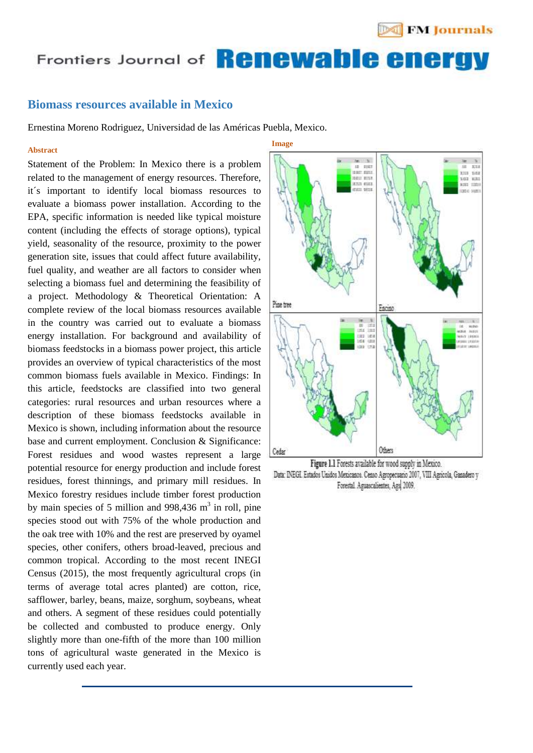# Frontiers Journal of **Kenewanie energy**

**Image**

### USA) **Biomass resources available in Mexico**

Ernestina Moreno Rodriguez, Universidad de las Américas Puebla, Mexico.

#### **Abstract**

Statement of the Problem: In Mexico there is a problem related to the management of energy resources. Therefore, it´s important to identify local biomass resources to evaluate a biomass power installation. According to the EPA, specific information is needed like typical moisture content (including the effects of storage options), typical yield, seasonality of the resource, proximity to the power generation site, issues that could affect future availability, fuel quality, and weather are all factors to consider when selecting a biomass fuel and determining the feasibility of a project. Methodology & Theoretical Orientation: A complete review of the local biomass resources available in the country was carried out to evaluate a biomass energy installation. For background and availability of biomass feedstocks in a biomass power project, this article provides an overview of typical characteristics of the most common biomass fuels available in Mexico. Findings: In this article, feedstocks are classified into two general categories: rural resources and urban resources where a description of these biomass feedstocks available in Mexico is shown, including information about the resource base and current employment. Conclusion & Significance: Forest residues and wood wastes represent a large potential resource for energy production and include forest residues, forest thinnings, and primary mill residues. In Mexico forestry residues include timber forest production by main species of 5 million and  $998,436$  m<sup>3</sup> in roll, pine species stood out with 75% of the whole production and the oak tree with 10% and the rest are preserved by oyamel species, other conifers, others broad-leaved, precious and common tropical. According to the most recent INEGI Census (2015), the most frequently agricultural crops (in terms of average total acres planted) are cotton, rice, safflower, barley, beans, maize, sorghum, soybeans, wheat and others. A segment of these residues could potentially be collected and combusted to produce energy. Only slightly more than one-fifth of the more than 100 million tons of agricultural waste generated in the Mexico is currently used each year.



Figure 1.1 Forests available for wood supply in Mexico. Data: INEGI. Estados Unidos Mexicanos. Censo Agropecuano 2007, VIII Agricola, Ganadero y Forestal Aguascalientes, Ags 2009.

**Others**